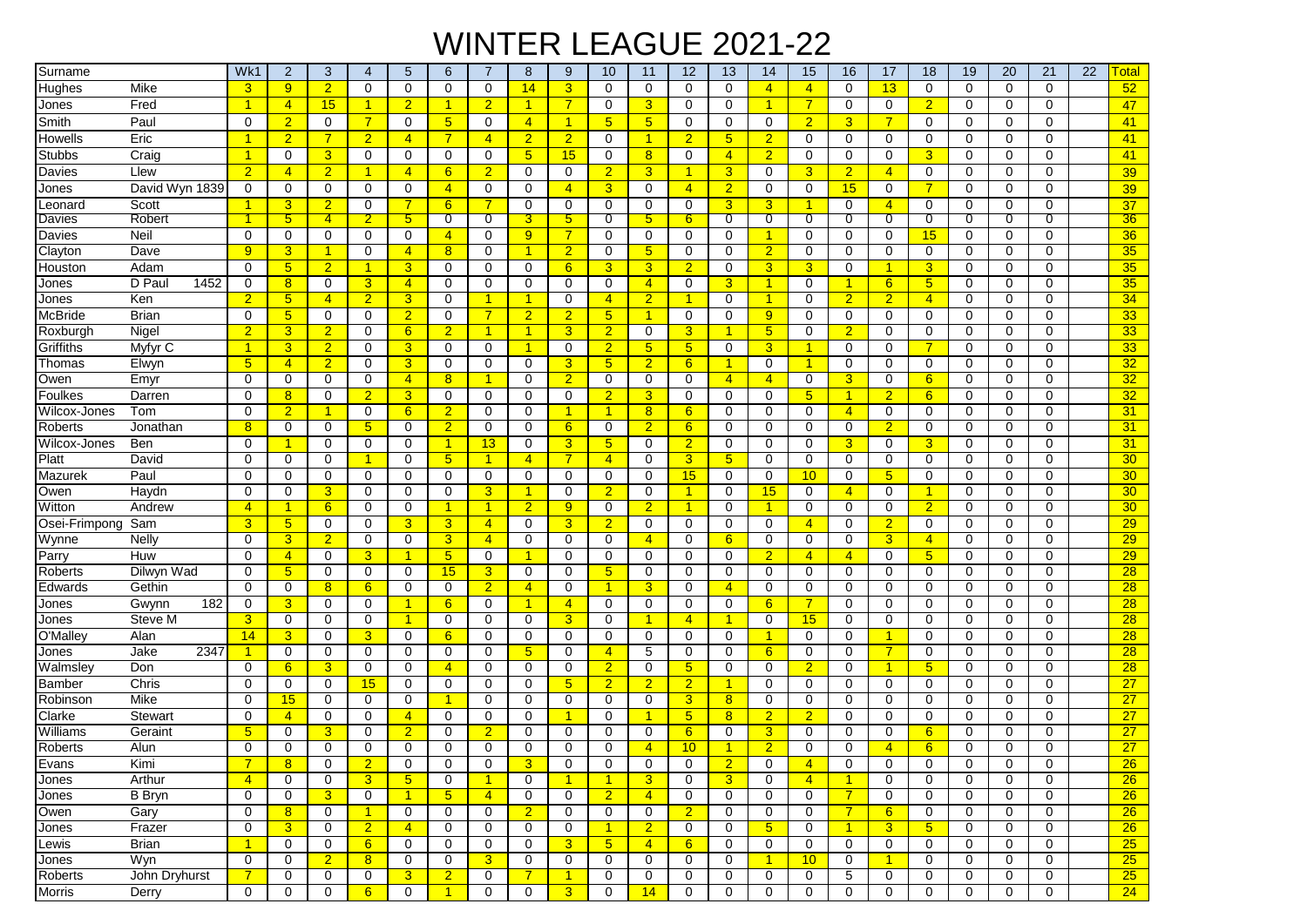## WINTER LEAGUE 2021-22

| Surname                            | Wk1             | $\overline{c}$       | 3                | 4                                | 5                                | 6                       | 7                         | 8                    | 9              | 10                | 11             | 12               | 13                               | 14                   | 15                  | 16                   | 17             | 18              | 19               | 20               | 21               | 22<br><b>Total</b> |
|------------------------------------|-----------------|----------------------|------------------|----------------------------------|----------------------------------|-------------------------|---------------------------|----------------------|----------------|-------------------|----------------|------------------|----------------------------------|----------------------|---------------------|----------------------|----------------|-----------------|------------------|------------------|------------------|--------------------|
| <b>Hughes</b><br>Mike              | 3               | 9 <sup>°</sup>       | $\overline{2}$   | $\mathbf 0$                      | 0                                | $\mathbf 0$             | $\mathbf 0$               | 14                   | 3              | $\mathbf 0$       | $\mathbf 0$    | $\mathbf 0$      | $\Omega$                         | $\overline{4}$       | $\overline{4}$      | $\mathbf 0$          | 13             | 0               | $\mathbf 0$      | $\mathbf 0$      | $\Omega$         | 52                 |
| Jones<br>Fred                      | $\overline{1}$  | $\overline{4}$       | 15               | $\mathbf{1}$                     | $\overline{2}$                   | 1                       | $\overline{2}$            | $\mathbf{1}$         | 7              | $\mathbf 0$       | 3              | 0                | $\mathbf 0$                      | $\mathbf{1}$         | $\overline{7}$      | $\mathbf 0$          | $\mathbf 0$    | $\overline{2}$  | 0                | 0                | 0                | 47                 |
| Paul<br>Smith                      | 0               | $\overline{2}$       | $\Omega$         | $\overline{7}$                   | 0                                | 5                       | $\mathbf 0$               | $\overline{4}$       |                | 5                 | 5              | 0                | $\mathbf 0$                      | 0                    | $\overline{2}$      | 3                    | $\overline{7}$ | $\Omega$        | 0                | 0                | $\Omega$         | 41                 |
| Eric<br>Howells                    | $\mathbf{1}$    | $\overline{2}$       | $\overline{7}$   | $\overline{2}$                   | $\overline{4}$                   | $\overline{7}$          | $\overline{4}$            | $\overline{2}$       | $\overline{2}$ | $\mathbf 0$       | $\overline{1}$ | $\overline{2}$   | $5\overline{)}$                  | $\overline{2}$       | 0                   | $\mathbf 0$          | $\mathbf 0$    | $\Omega$        | 0                | $\Omega$         | $\mathbf 0$      | 41                 |
| Stubbs<br>Craig                    | $\overline{1}$  | 0                    | 3                | $\mathbf 0$                      | 0                                | 0                       | 0                         | $5\overline{)}$      | 15             | $\mathbf 0$       | 8              | 0                | $\overline{4}$                   | $\overline{2}$       | $\Omega$            | $\mathbf 0$          | $\mathbf 0$    | 3               | $\mathbf 0$      | $\mathbf 0$      | $\Omega$         | 41                 |
| Davies<br>Llew                     | $\overline{2}$  | $\overline{4}$       | $\overline{2}$   | $\mathbf{1}$                     | $\overline{4}$                   | 6                       | $\overline{2}$            | 0                    | $\mathbf 0$    | $\overline{2}$    | 3              | 1                | $\overline{3}$                   | $\mathbf 0$          | 3                   | $\overline{2}$       | $\overline{4}$ | 0               | $\mathbf 0$      | $\mathbf 0$      | $\Omega$         | 39                 |
| David Wyn 1839<br>Jones            | 0               | 0                    | $\mathbf 0$      | 0                                | 0                                | $\overline{4}$          | 0                         | 0                    | $\overline{4}$ | 3                 | 0              | $\overline{4}$   | $\overline{2}$                   | $\mathbf 0$          | 0                   | 15                   | 0              | $\overline{7}$  | $\mathbf 0$      | 0                | 0                | 39                 |
| Scott<br>Leonard                   | 1               | 3                    | $\overline{2}$   | $\mathbf 0$                      | $\overline{7}$                   | 6                       | 7                         | 0                    | $\mathbf 0$    | $\mathbf 0$       | $\mathbf 0$    | 0                | $\overline{3}$                   | 3                    |                     | $\mathbf 0$          | $\overline{4}$ | $\Omega$        | 0                | 0                | $\Omega$         | 37                 |
| Robert<br>Davies                   | $\mathbf{1}$    | $5^{\circ}$          | $\overline{4}$   | $\overline{2}$                   | 5                                | 0                       | 0                         | 3                    | 5              | 0                 | 5              | 6                | 0                                | 0                    | 0                   | 0                    | 0              | 0               | 0                | 0                | 0                | 36                 |
| Davies<br>Neil                     | 0               | 0                    | 0                | $\mathbf 0$                      | 0                                | $\overline{4}$          | 0                         | 9                    | 7              | $\mathbf 0$       | 0              | 0                | 0                                | 1                    | 0                   | 0                    | 0              | 15              | 0                | 0                | 0                | 36                 |
| Clayton<br>Dave                    | 9               | 3                    | -1               | $\mathbf 0$                      | $\overline{4}$                   | 8                       | $\mathbf 0$               | $\overline{1}$       | $\overline{2}$ | 0                 | 5              | 0                | $\mathbf 0$                      | $\overline{2}$       | 0                   | 0                    | 0              | 0               | 0                | 0                | 0                | 35                 |
| Houston<br>Adam                    | $\Omega$        | 5 <sub>5</sub>       | $\overline{2}$   | $\mathbf{1}$                     | 3                                | 0                       | 0                         | 0                    | 6              | 3                 | 3              | $\overline{2}$   | $\mathbf 0$                      | 3                    | 3                   | 0                    | $\mathbf{1}$   | 3               | 0                | 0                | $\Omega$         | 35                 |
| D Paul<br>1452<br>Jones            | 0               | 8                    | 0                | 3                                | $\overline{4}$                   | 0                       | $\mathbf 0$               | 0                    | 0              | $\mathbf 0$       | $\overline{4}$ | 0                | 3                                | $\mathbf{1}$         | 0                   | $\blacktriangleleft$ | $6\phantom{1}$ | 5               | 0                | 0                | $\Omega$         | 35                 |
| Ken<br>Jones                       | $\overline{2}$  | 5 <sub>5</sub>       | $\overline{4}$   | $\overline{2}$                   | 3                                | 0                       | 1                         | $\blacktriangleleft$ | $\mathbf 0$    | $\overline{4}$    | $\overline{2}$ |                  | $\mathbf 0$                      | $\blacktriangleleft$ | 0                   | $\overline{2}$       | $\overline{2}$ | 4               | 0                | 0                | 0                | 34                 |
| <b>Brian</b><br>McBride            | 0               | 5 <sub>5</sub>       | 0                | 0                                | $\overline{2}$                   | $\mathbf 0$             | $\overline{7}$            | $\overline{2}$       | $\overline{2}$ | 5 <sup>5</sup>    | $\mathbf{1}$   | $\mathbf 0$      | $\Omega$                         | 9                    | 0                   | $\mathbf 0$          | $\mathbf 0$    | 0               | 0                | $\Omega$         | 0                | 33                 |
| Roxburgh<br>Nigel                  | $\overline{2}$  | 3                    | $\overline{2}$   | $\mathbf 0$                      | 6                                | $\overline{2}$          | 1                         | $\mathbf{1}$         | 3              | $\overline{2}$    | $\mathbf 0$    | 3                | $\mathbf{1}$                     | 5                    | 0                   | $\overline{2}$       | 0              | 0               | 0                | $\mathbf 0$      | $\Omega$         | 33                 |
| Griffiths<br>Myfyr C               | $\mathbf{1}$    | 3                    | $\overline{2}$   | 0                                | 3 <sup>5</sup>                   | 0                       | $\mathbf 0$               | $\overline{1}$       | 0              | $\overline{2}$    | 5              | 5                | $\mathbf 0$                      | 3                    | $\mathbf 1$         | $\mathbf 0$          | 0              | 7               | 0                | 0                | 0                | 33                 |
| Thomas<br>Elwyn                    | $5\overline{)}$ | $\overline{4}$       | $\overline{2}$   | $\mathbf 0$                      | 3                                | $\mathbf 0$             | 0                         | 0                    | 3              | 5 <sub>5</sub>    | $\overline{2}$ | 6                | -1                               | $\mathbf 0$          | 1                   | 0                    | 0              | 0               | 0                | 0                | $\mathbf 0$      | 32                 |
| Emyr<br>Owen                       | 0               | 0                    | $\mathbf 0$      | $\mathbf 0$                      | $\overline{4}$                   | 8                       | 1                         | 0                    | $\overline{2}$ | $\mathbf 0$       | $\mathbf 0$    | 0                | $\overline{4}$                   | $\overline{4}$       | 0                   | $\overline{3}$       | 0              | $6\phantom{1}$  | $\mathbf 0$      | $\mathbf 0$      | $\Omega$         | 32                 |
| Foulkes<br>Darren                  | 0               | 8                    | $\mathbf 0$      | $\overline{2}$                   | 3                                | 0                       | $\mathbf 0$               | 0                    | $\mathbf 0$    | $\overline{2}$    | 3              | 0                | $\mathbf 0$                      | $\mathbf 0$          | 5                   | $\overline{1}$       | $\overline{2}$ | $6\phantom{1}$  | 0                | $\mathbf 0$      | $\Omega$         | 32                 |
| Wilcox-Jones<br>Tom                | 0               | $\overline{2}$       | -1               | 0                                | $6^{\circ}$                      | $\overline{2}$          | 0                         | 0                    |                | 1                 | 8              | 6                | $\mathbf 0$                      | 0                    | 0                   | $\overline{4}$       | 0              | 0               | 0                | 0                | $\Omega$         | 31                 |
| Roberts<br>Jonathan                | 8               | 0                    | 0                | 5                                | $\mathbf 0$                      | $\overline{2}$          | $\mathbf 0$               | $\Omega$             | 6              | $\mathbf 0$       | $\overline{2}$ | 6                | $\Omega$                         | $\Omega$             | $\Omega$            | $\mathbf 0$          | $\overline{2}$ | $\Omega$        | 0                | $\Omega$         | $\Omega$         | 31                 |
| Ben<br>Wilcox-Jones                | $\Omega$        | 1                    | $\Omega$         | $\Omega$                         | $\mathbf 0$                      | -1                      | 13                        | 0                    | 3              | 5                 | $\Omega$       | $\overline{2}$   | $\Omega$                         | $\Omega$             | $\Omega$            | 3                    | $\Omega$       | 3               | 0                | $\Omega$         | $\Omega$         | 31                 |
| Platt<br>David                     | 0               | $\mathbf 0$          | 0                | $\mathbf{1}$                     | 0                                | $5\overline{)}$         | $\blacktriangleleft$      | $\overline{4}$       | $\overline{7}$ | $\overline{4}$    | $\mathbf 0$    | 3                | $5\overline{)}$                  | $\mathbf 0$          | 0                   | $\mathbf 0$          | 0              | 0               | 0                | 0                | 0                | 30                 |
| Paul<br>Mazurek                    | 0               | 0                    | 0                | 0                                | 0                                | 0                       | 0                         | 0                    | 0              | 0                 | 0              | 15               | $\mathbf 0$                      | 0                    | 10                  | 0                    | 5              | 0               | 0                | 0                | 0                | 30                 |
| Owen<br>Haydn                      | 0               | 0                    | 3                | 0                                | $\mathbf 0$                      | $\mathbf 0$             | 3                         | $\mathbf{1}$         | 0              | $\overline{2}$    | $\mathbf 0$    | 1                | $\mathbf 0$                      | 15                   | 0                   | $\overline{4}$       | 0              | 1               | 0                | 0                | 0                | 30                 |
| Witton<br>Andrew                   | 4               | 1                    | 6                | $\mathbf 0$                      | 0                                | -1                      | 1                         | $\overline{2}$       | 9              | $\mathbf 0$       | $\overline{2}$ |                  | $\mathbf 0$                      | 1                    | 0                   | 0                    | 0              | $\overline{2}$  | 0                | $\mathbf 0$      | $\mathbf 0$      | 30 <sub>o</sub>    |
| Osei-Frimpong<br>Sam               | 3               | 5 <sub>5</sub>       | $\mathbf 0$      | $\mathbf 0$                      | 3                                | 3                       | $\overline{4}$            | 0                    | 3              | $\overline{2}$    | $\mathbf 0$    | 0                | $\mathbf 0$                      | $\mathbf 0$          | 4                   | $\mathbf 0$          | $\overline{2}$ | 0               | 0                | 0                | $\Omega$         | 29                 |
| Wynne<br><b>Nelly</b>              | 0               | $\overline{3}$       | $\overline{2}$   | 0                                | 0                                | 3                       | $\overline{4}$            | 0                    | 0              | $\mathbf 0$       | $\overline{4}$ | 0                | 6                                | 0                    | 0                   | 0                    | 3              | $\overline{4}$  | 0                | 0                | $\Omega$         | 29                 |
| Parry<br>Huw                       | $\Omega$        | $\overline{4}$       | 0                | 3                                | $\blacktriangleleft$             | $\sqrt{5}$              | 0                         | $\mathbf{1}$         | 0              | 0                 | $\Omega$       | 0                | $\Omega$                         | $\overline{2}$       | 4                   | $\overline{4}$       | 0              | 5               | 0                | 0                | $\Omega$         | 29                 |
| Roberts<br>Dilwyn Wad              | $\Omega$        | 5 <sub>5</sub>       | 0                | 0                                | 0                                | 15                      | 3                         | 0                    | $\mathbf 0$    | 5 <sup>5</sup>    | 0              | $\mathbf 0$      | $\mathbf 0$                      | $\mathbf 0$          | 0                   | $\mathbf 0$          | $\mathbf 0$    | 0               | 0                | 0                | $\Omega$         | $\overline{28}$    |
| Edwards<br>Gethin                  | 0               | 0                    | 8                | 6                                | 0                                | 0                       | $\overline{2}$            | $\overline{4}$       | 0              | 1                 | 3              | 0                | $\overline{4}$                   | 0                    | 0                   | 0                    | 0              | 0               | 0                | 0                | 0                | 28                 |
| Gwynn<br>182<br>Jones              | 0               | 3                    | 0                | 0                                | $\mathbf{1}$                     | 6                       | $\mathbf 0$               | $\blacktriangleleft$ | $\overline{4}$ | 0                 | $\mathbf 0$    | $\mathbf 0$      | $\Omega$                         | 6                    | $\overline{7}$      | $\mathbf 0$          | $\mathbf 0$    | 0               | 0                | 0                | 0                | 28                 |
| Steve M<br>Jones                   | $\overline{3}$  | 0                    | $\mathbf 0$      | $\mathbf 0$                      | $\mathbf{1}$                     | $\mathbf 0$             | 0                         | $\mathbf 0$          | 3              | $\mathbf 0$       | 1              | $\overline{4}$   | $\blacktriangleleft$             | $\mathbf 0$          | 15                  | $\mathbf 0$          | 0              | $\Omega$        | $\mathbf 0$      | $\mathbf 0$      | $\Omega$         | $\overline{28}$    |
| O'Malley<br>Alan                   | 14              | 3                    | 0                | 3                                | 0                                | 6                       | 0                         | 0                    | 0              | 0                 | $\mathbf 0$    | 0                | $\mathbf 0$                      | 1                    | 0                   | $\mathbf 0$          | 1<br>7         | 0               | $\mathbf 0$      | 0                | 0                | 28                 |
| 2347<br>Jake<br>Jones              | $\mathbf{1}$    | 0                    | 0                | $\mathbf 0$                      | 0                                | $\mathbf 0$             | 0                         | 5                    | 0              | $\overline{4}$    | 5              | 0                | $\mathbf 0$                      | 6                    | 0                   | 0                    |                | 0               | 0                | 0                | $\Omega$         | 28                 |
| Walmsley<br>Don                    | 0               | 6                    | 3                | $\mathbf 0$                      | 0                                | $\overline{4}$          | $\mathbf 0$               | $\mathbf 0$          | $\mathbf 0$    | $\overline{2}$    | $\mathbf 0$    | $5\overline{)}$  | $\mathbf 0$                      | $\mathbf 0$          | $\overline{2}$      | $\mathbf 0$          | 1              | 5               | 0                | $\mathbf 0$      | $\Omega$         | 28                 |
| Chris<br>Bamber                    | $\Omega$        | 0                    | 0                | 15                               | 0                                | 0                       | $\mathbf 0$               | 0                    | 5              | $\overline{2}$    | $\overline{2}$ | $\overline{2}$   | $\blacktriangleleft$             | $\Omega$             | 0                   | $\mathbf 0$          | $\mathbf 0$    | $\Omega$        | 0                | 0                | $\Omega$         | 27                 |
| Robinson<br>Mike<br><b>Stewart</b> | $\Omega$<br>0   | 15<br>$\overline{4}$ | 0<br>0           | 0                                | 0                                | 1<br>0                  | 0                         | 0<br>0               | 0              | 0<br>0            | 0<br>1         | 3                | 8<br>8                           | 0                    | 0<br>2              | 0<br>$\mathbf 0$     | 0<br>0         | $\Omega$<br>0   | 0<br>0           | 0<br>0           | $\Omega$<br>0    | 27<br>27           |
| Clarke<br>Williams                 | 5               | 0                    | 3                | 0<br>$\Omega$                    | $\overline{4}$<br>$\overline{2}$ | $\Omega$                | 0<br>$\overline{2}$       | $\Omega$             | 0              | $\Omega$          | $\Omega$       | 5<br>6           | $\Omega$                         | $\overline{2}$<br>3  | $\Omega$            | 0                    | $\Omega$       | 6               | 0                | $\Omega$         | $\Omega$         | 27                 |
| Geraint<br>Roberts<br>Alun         | 0               | 0                    | $\Omega$         | $\Omega$                         | $\Omega$                         | $\mathbf 0$             | 0                         | $\Omega$             | $\Omega$       | $\Omega$          | $\overline{4}$ | 10 <sup>°</sup>  | $\mathbf{1}$                     | $\overline{2}$       | 0                   | $\mathbf 0$          | $\overline{4}$ | 6               | $\Omega$         | $\Omega$         | 0                | $\overline{27}$    |
|                                    |                 |                      |                  |                                  |                                  |                         |                           |                      |                |                   |                |                  |                                  |                      |                     |                      |                |                 |                  |                  |                  |                    |
| Evans<br>Kimi<br>Arthur<br>Jones   | $\overline{4}$  | 8<br>0               | 0<br>$\mathbf 0$ | $\overline{2}$<br>$\overline{3}$ | 0<br>5 <sub>5</sub>              | 0<br>0                  | 0<br>$\blacktriangleleft$ | 3<br>$\mathbf 0$     | 0<br>1         | 0<br>$\mathbf{1}$ | 0<br>3         | 0<br>$\mathbf 0$ | $\overline{2}$<br>$\overline{3}$ | 0<br>0               | 4<br>$\overline{4}$ | 0<br>$\overline{1}$  | 0<br>0         | 0<br>0          | 0<br>$\mathbf 0$ | 0<br>$\mathbf 0$ | 0<br>$\mathbf 0$ | <u>26</u><br>26    |
| <b>B</b> Bryn<br>Jones             | 0               | 0                    | $\overline{3}$   | $\mathbf 0$                      | $\mathbf{1}$                     | 5 <sub>5</sub>          | $\overline{4}$            | 0                    | $\mathbf 0$    | $\overline{2}$    | $\overline{4}$ | 0                | 0                                | $\mathbf 0$          | 0                   | $\overline{7}$       | $\mathbf 0$    | 0               | $\mathbf 0$      | $\mathbf 0$      | $\mathbf 0$      | 26                 |
| Owen<br>Gary                       | 0               | 8                    | 0                | $\mathbf{1}$                     | 0                                | 0                       | $\mathbf 0$               | $\overline{2}$       | $\mathbf 0$    | 0                 | $\mathbf 0$    | $\overline{2}$   | $\mathbf 0$                      | $\mathbf 0$          | 0                   | $\overline{7}$       | 6              | 0               | $\mathbf 0$      | 0                | $\mathbf 0$      | 26                 |
| Frazer<br>Jones                    | 0               | $\mathbf{3}$         | 0                | 2 <sup>1</sup>                   | $\overline{4}$                   | 0                       | 0                         | $\mathbf 0$          | 0              | $\mathbf{1}$      | $\overline{2}$ | 0                | 0                                | $5\phantom{.0}$      | 0                   | $\blacktriangleleft$ | 3 <sup>5</sup> | $5\overline{)}$ | 0                | 0                | $\mathbf 0$      | 26                 |
| <b>Brian</b><br>Lewis              | $\mathbf{1}$    | 0                    | $\mathbf 0$      | 6                                | 0                                | 0                       | 0                         | $\mathbf 0$          | 3              | 5 <sub>5</sub>    | $\overline{4}$ | 6                | 0                                | $\mathbf 0$          | 0                   | 0                    | $\mathbf 0$    | 0               | 0                | $\mathbf 0$      | $\mathbf 0$      | 25                 |
| Wyn<br>Jones                       | $\mathbf 0$     | 0                    | $\overline{2}$   | 8                                | 0                                | 0                       | $\overline{3}$            | 0                    | $\mathbf 0$    | 0                 | 0              | 0                | $\mathbf 0$                      | $\mathbf{1}$         | 10 <sup>°</sup>     | 0                    | $\mathbf{1}$   | 0               | 0                | 0                | $\mathbf 0$      | $\overline{25}$    |
| Roberts<br>John Dryhurst           | $\overline{7}$  | 0                    | 0                | 0                                | 3 <sup>1</sup>                   | $\overline{2}$          | 0                         | $\overline{7}$       | $\overline{1}$ | 0                 | $\mathbf 0$    | 0                | $\mathbf 0$                      | $\mathbf 0$          | 0                   | 5                    | 0              | 0               | 0                | 0                | $\mathbf 0$      | 25                 |
| Morris<br>Derry                    | $\overline{0}$  | 0                    | $\mathbf 0$      | 6                                | $\mathbf 0$                      | $\overline{\mathbf{1}}$ | $\mathbf 0$               | $\mathbf 0$          | $\overline{3}$ | 0                 | 14             | $\mathbf 0$      | $\mathbf 0$                      | 0                    | $\mathbf 0$         | 0                    | $\mathbf 0$    | 0               | $\mathbf 0$      | $\mathbf 0$      | $\mathbf 0$      | 24                 |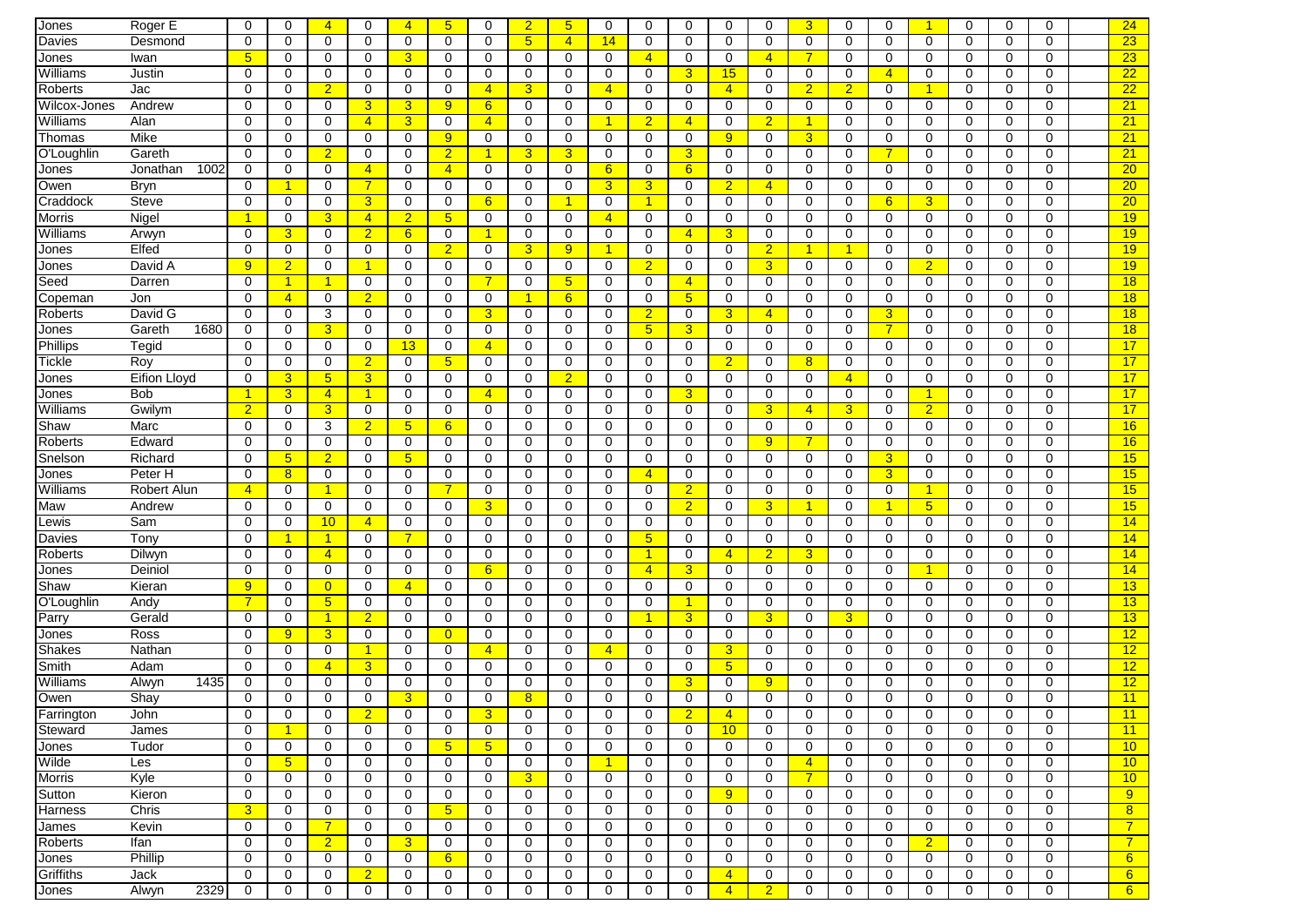| Jones                   | Roger E             | 0                    | 0                    | $\overline{4}$  | 0                       | $\overline{4}$   | 5                             | 0                    | $\overline{2}$  | 5              | 0                    | 0                    | 0              | $\mathbf 0$    | 0              | 3              | $\mathbf 0$          | 0              |                | $\mathbf 0$ | 0           | $\Omega$    | 24                  |
|-------------------------|---------------------|----------------------|----------------------|-----------------|-------------------------|------------------|-------------------------------|----------------------|-----------------|----------------|----------------------|----------------------|----------------|----------------|----------------|----------------|----------------------|----------------|----------------|-------------|-------------|-------------|---------------------|
| Davies                  | Desmond             | 0                    | 0                    | $\mathbf 0$     | $\mathbf 0$             | 0                | $\mathbf 0$                   | $\mathbf 0$          | $5\phantom{.0}$ | 4              | 14                   | 0                    | 0              | $\mathbf 0$    | 0              | $\mathbf 0$    | 0                    | $\mathbf 0$    | 0              | $\mathbf 0$ | $\mathbf 0$ | $\Omega$    | 23                  |
| Jones                   | Iwan                | 5                    | 0                    | 0               | $\mathbf 0$             | 3                | 0                             | $\mathbf 0$          | $\mathbf 0$     | 0              | 0                    | $\overline{4}$       | 0              | $\mathbf 0$    | $\overline{4}$ |                | $\mathbf 0$          | $\mathbf 0$    | 0              | $\mathbf 0$ | $\mathbf 0$ | $\Omega$    | 23                  |
| Williams                | Justin              | 0                    | 0                    | 0               | $\mathbf 0$             | $\mathbf 0$      | 0                             | 0                    | 0               | 0              | 0                    | 0                    | 3              | 15             | 0              | 0              | 0                    | $\overline{4}$ | 0              | 0           | 0           | 0           | 22                  |
| Roberts                 | Jac                 | 0                    | $\Omega$             | $\overline{2}$  | 0                       | $\mathbf 0$      | 0                             | $\overline{4}$       | 3               | $\Omega$       | $\overline{4}$       | $\mathbf 0$          | $\Omega$       | $\overline{4}$ | 0              | $\overline{2}$ | $\overline{2}$       | $\mathbf 0$    |                | $\Omega$    | 0           | $\Omega$    | 22                  |
| Wilcox-Jones            | Andrew              | 0                    | 0                    | $\mathbf 0$     | 3                       | 3                | 9                             | 6                    | 0               | 0              | $\mathbf 0$          | 0                    | 0              | 0              | 0              | 0              | $\mathbf 0$          | $\mathbf 0$    | 0              | 0           | $\mathbf 0$ | $\Omega$    | $\overline{21}$     |
| Williams                | Alan                | 0                    | 0                    | 0               | $\overline{4}$          | 3                | 0                             | $\overline{4}$       | 0               | $\Omega$       | $\blacktriangleleft$ | $\overline{2}$       | 4              | $\mathbf 0$    | $\overline{2}$ | 1              | 0                    | $\mathbf 0$    | 0              | 0           | 0           | $\Omega$    | 21                  |
| Thomas                  | <b>Mike</b>         | $\mathbf 0$          | $\mathbf 0$          | $\mathbf 0$     | $\mathbf 0$             | 0                | 9                             | $\mathbf 0$          | $\mathbf 0$     | 0              | $\mathbf 0$          | $\mathbf 0$          | 0              | 9              | $\mathbf 0$    | 3              | $\mathbf 0$          | $\mathbf 0$    | 0              | $\mathbf 0$ | $\mathbf 0$ | $\Omega$    | $\overline{21}$     |
| O'Loughlin              | Gareth              | $\mathbf 0$          | 0                    | $\overline{2}$  | $\mathbf 0$             | $\mathbf 0$      | $\overline{2}$                | $\blacktriangleleft$ | 3               | 3              | $\mathbf 0$          | $\mathbf 0$          | 3              | 0              | $\mathbf 0$    | $\mathbf 0$    | $\mathbf 0$          | $\overline{7}$ | 0              | $\mathbf 0$ | $\mathbf 0$ | $\Omega$    | 21                  |
| Jones                   | 1002<br>Jonathan    | 0                    | 0                    | 0               | $\overline{4}$          | $\mathbf 0$      | $\overline{4}$                | 0                    | 0               | 0              | 6                    | 0                    | 6              | $\mathbf 0$    | 0              | 0              | 0                    | $\mathbf 0$    | 0              | 0           | $\mathbf 0$ | $\mathbf 0$ | 20                  |
| Owen                    | <b>Bryn</b>         | $\mathbf 0$          | $\blacktriangleleft$ | 0               | $\overline{7}$          | $\mathbf 0$      | 0                             | 0                    | $\mathbf 0$     | 0              | $\overline{3}$       | 3                    | 0              | $\overline{2}$ | $\overline{4}$ | 0              | 0                    | $\mathbf 0$    | 0              | 0           | $\mathbf 0$ | $\mathbf 0$ | $\overline{20}$     |
| Craddock                | <b>Steve</b>        | 0                    | 0                    | 0               | 3                       | $\mathbf 0$      | 0                             | 6                    | 0               | 1              | $\mathbf 0$          | $\mathbf{1}$         | $\Omega$       | 0              | 0              | $\Omega$       | 0                    | 6              | 3              | $\Omega$    | 0           | $\Omega$    | 20 <sub>2</sub>     |
| <b>Morris</b>           | Nigel               | 1                    | 0                    | 3               | $\overline{4}$          | $\overline{2}$   | 5                             | $\mathbf 0$          | 0               | $\Omega$       | $\overline{4}$       | 0                    | $\Omega$       | 0              | 0              | $\Omega$       | 0                    | $\mathbf 0$    | 0              | $\Omega$    | 0           | 0           | 19                  |
| Williams                | Arwyn               | 0                    | 3                    | 0               | $\overline{2}$          | 6                | 0                             | $\overline{1}$       | 0               | $\Omega$       | 0                    | $\mathbf 0$          | $\overline{4}$ | 3              | $\mathbf 0$    | $\Omega$       | 0                    | $\mathbf 0$    | 0              | $\Omega$    | 0           | $\Omega$    | 19                  |
| Jones                   | Elfed               | 0                    | $\mathbf 0$          | $\mathbf 0$     | 0                       | $\mathbf 0$      | $\overline{2}$                | 0                    | 3               | 9              | $\blacktriangleleft$ | $\mathbf 0$          | 0              | $\mathbf 0$    | $\overline{2}$ | 1              | $\blacktriangleleft$ | $\mathbf 0$    | 0              | 0           | $\mathbf 0$ | $\Omega$    | 19                  |
| Jones                   | David A             | $\overline{9}$       | $\overline{2}$       | $\Omega$        | -1                      | $\Omega$         | $\mathbf 0$                   | $\Omega$             | 0               | $\Omega$       | $\Omega$             | $\overline{2}$       | $\Omega$       | $\mathbf 0$    | 3              | $\Omega$       | $\mathbf 0$          | $\Omega$       | $\overline{2}$ | $\Omega$    | $\Omega$    | $\Omega$    | 19                  |
| Seed                    | Darren              | 0                    | $\blacktriangleleft$ | -1              | 0                       | $\mathbf 0$      | 0                             | $\overline{7}$       | 0               | 5              | $\mathbf 0$          | 0                    | $\overline{4}$ | $\mathbf 0$    | 0              | 0              | $\mathbf 0$          | $\mathbf 0$    | 0              | $\mathbf 0$ | $\mathbf 0$ | $\Omega$    | 18                  |
| Copeman                 | Jon                 | $\mathbf 0$          | $\overline{4}$       | 0               | $\overline{2}$          | $\mathbf 0$      | 0                             | 0                    | 1               | 6              | $\mathbf 0$          | $\mathbf 0$          | 5              | $\mathbf 0$    | 0              | 0              | 0                    | $\mathbf 0$    | 0              | 0           | $\mathbf 0$ | 0           | 18                  |
| Roberts                 | David G             | 0                    | 0                    | 3               | $\mathbf 0$             | $\mathbf 0$      | 0                             | $\overline{3}$       | $\mathbf 0$     | 0              | $\mathbf 0$          | $\overline{2}$       | 0              | 3              | $\overline{4}$ | 0              | $\mathbf 0$          | $\overline{3}$ | 0              | $\mathbf 0$ | $\mathbf 0$ | $\Omega$    | 18                  |
| Jones                   | 1680<br>Gareth      | 0                    | 0                    | 3               | $\mathbf 0$             | $\mathbf 0$      | 0                             | $\mathbf 0$          | $\mathbf 0$     | $\Omega$       | $\mathbf 0$          | 5 <sub>5</sub>       | 3              | $\mathbf 0$    | $\mathbf 0$    | $\mathbf 0$    | $\mathbf 0$          | $\overline{7}$ | 0              | 0           | $\mathbf 0$ | $\Omega$    | 18                  |
| Phillips                | Tegid               | 0                    | 0                    | 0               | 0                       | 13               | 0                             | $\overline{4}$       | 0               | 0              | 0                    | 0                    | 0              | $\mathbf 0$    | 0              | $\Omega$       | 0                    | $\mathbf 0$    | 0              | 0           | $\mathbf 0$ | $\Omega$    | 17                  |
| <b>Tickle</b>           | Roy                 | 0                    | 0                    | 0               | $\overline{2}$          | $\mathbf 0$      | 5                             | 0                    | 0               | 0              | $\mathbf 0$          | 0                    | $\Omega$       | $\overline{2}$ | 0              | 8              | 0                    | $\mathbf 0$    | 0              | $\Omega$    | $\mathbf 0$ | $\Omega$    | 17                  |
| Jones                   | <b>Eifion Lloyd</b> | 0                    | 3                    | $5\phantom{1}$  | 3                       | $\mathbf 0$      | 0                             | 0                    | 0               | $\overline{2}$ | 0                    | $\mathbf 0$          | 0              | 0              | 0              | 0              | $\overline{4}$       | $\mathbf 0$    | 0              | 0           | $\mathbf 0$ | $\Omega$    | 17                  |
| Jones                   | Bob                 | $\blacktriangleleft$ | 3                    | $\overline{4}$  | $\mathbf{1}$            | 0                | 0                             | $\overline{4}$       | 0               | 0              | $\mathbf 0$          | 0                    | 3              | $\mathbf 0$    | 0              | 0              | $\mathbf 0$          | $\mathbf 0$    | 1              | $\Omega$    | $\mathbf 0$ | $\Omega$    | 17                  |
| Williams                | Gwilym              | $\overline{2}$       | 0                    | 3               | 0                       | 0                | 0                             | 0                    | 0               | 0              | $\mathbf 0$          | 0                    | 0              | $\mathbf 0$    | 3              | $\overline{4}$ | 3                    | $\mathbf 0$    | $\overline{2}$ | 0           | $\mathbf 0$ | 0           | 17                  |
| Shaw                    | Marc                | 0                    | 0                    | 3               | $\overline{2}$          | 5                | $6^{\circ}$                   | 0                    | $\mathbf 0$     | 0              | 0                    | $\mathbf 0$          | 0              | $\mathbf 0$    | $\mathbf 0$    | 0              | $\mathbf 0$          | $\mathbf 0$    | 0              | $\mathbf 0$ | $\mathbf 0$ | $\Omega$    | 16                  |
| Roberts                 | Edward              | $\mathbf 0$          | 0                    | $\mathbf 0$     | $\mathbf 0$             | 0                | $\mathbf 0$                   | 0                    | $\mathbf 0$     | $\Omega$       | $\mathbf 0$          | $\mathbf 0$          | $\Omega$       | $\mathbf 0$    | 9              | 7              | $\mathbf 0$          | $\mathbf 0$    | 0              | $\mathbf 0$ | $\mathbf 0$ | $\Omega$    | 16                  |
| Snelson                 | Richard             | $\Omega$             | 5                    | $\overline{2}$  | $\mathbf 0$             | 5                | 0                             | $\mathbf 0$          | $\mathbf 0$     | 0              | $\mathbf 0$          | $\mathbf 0$          | 0              | $\mathbf 0$    | 0              | 0              | 0                    | $\overline{3}$ | 0              | 0           | $\mathbf 0$ | $\Omega$    | 15                  |
| Jones                   | Peter H             | $\mathbf 0$          | 8                    | $\mathbf 0$     | $\mathbf 0$             | $\mathbf 0$      | 0                             | $\mathbf 0$          | $\mathbf 0$     | 0              | 0                    | $\overline{4}$       | 0              | $\mathbf 0$    | $\mathbf 0$    | $\mathbf 0$    | 0                    | $\overline{3}$ | 0              | $\mathbf 0$ | $\mathbf 0$ | 0           | 15                  |
| Williams                | Robert Alun         | $\overline{4}$       | $\mathbf 0$          | 1               | 0                       | $\mathbf 0$      |                               | 0                    | 0               | 0              | 0                    | $\mathbf 0$          | $\overline{2}$ | 0              | $\mathbf 0$    | $\Omega$       | $\mathbf 0$          | $\mathbf 0$    | 1              | $\Omega$    | $\mathbf 0$ | $\Omega$    | 15                  |
| Maw                     | Andrew              | $\mathbf 0$          | 0                    | 0               | 0                       | 0                | 0                             | 3                    | 0               | 0              | $\mathbf 0$          | 0                    | $\overline{2}$ | 0              | 3              | 1              | 0                    | $\overline{1}$ | 5 <sup>5</sup> | $\Omega$    | $\mathbf 0$ | 0           | 15                  |
| Lewis                   | Sam                 | 0                    | 0                    | $10\,$          | $\overline{4}$          | 0                | 0                             | 0                    | 0               | 0              | 0                    | 0                    | 0              | 0              | 0              | 0              | 0                    | $\mathbf 0$    | 0              | 0           | $\mathbf 0$ | 0           | 14                  |
| Davies                  | Tony                | 0                    | $\blacktriangleleft$ | -1              | 0                       | $\overline{7}$   | 0                             | $\Omega$             | $\mathbf 0$     | 0              | $\mathbf 0$          | 5 <sup>5</sup>       | 0              | 0              | $\mathbf 0$    | 0              | 0                    | $\mathbf 0$    | 0              | $\Omega$    | $\mathbf 0$ | $\Omega$    | 14                  |
| <b>Roberts</b>          | Dilwyn              | $\mathbf 0$          | 0                    | $\overline{4}$  | $\mathbf 0$             | $\mathbf 0$      | $\mathbf 0$                   | $\mathbf 0$          | $\mathbf 0$     | $\Omega$       | $\mathbf 0$          | $\mathbf{1}$         | $\Omega$       | $\overline{4}$ | $\overline{2}$ | 3              | $\mathbf 0$          | $\mathbf 0$    | 0              | $\mathbf 0$ | $\Omega$    | $\Omega$    | 14                  |
| Jones                   | Deiniol             | 0                    | 0                    | 0               | 0                       | $\mathbf 0$      | 0                             | 6                    | 0               | 0              | 0                    | $\overline{4}$       | 3              | 0              | 0              | 0              | 0                    | $\mathbf 0$    | 1              | 0           | 0           | 0           | 14                  |
| Shaw                    | Kieran              | 9                    | 0                    | $\overline{0}$  | 0                       | $\overline{4}$   | 0                             | $\mathbf 0$          | $\mathbf 0$     | 0              | 0                    | $\mathbf 0$          | 0              | 0              | 0              | $\mathbf 0$    | 0                    | $\mathbf 0$    | 0              | 0           | $\mathbf 0$ | $\mathbf 0$ | 13                  |
| O'Loughlin              | Andy                | $\overline{7}$       | 0                    | $5\overline{)}$ | $\mathbf 0$             | $\mathbf 0$      | 0                             | $\mathbf 0$          | $\mathbf 0$     | 0              | $\mathbf 0$          | $\mathbf 0$          | 1              | $\mathbf 0$    | $\mathbf 0$    | 0              | 0                    | $\mathbf 0$    | 0              | $\mathbf 0$ | $\mathbf 0$ | $\Omega$    | 13                  |
| Parry                   | Gerald              | $\mathbf 0$          | 0                    | $\overline{1}$  | $\overline{2}$          | 0                | 0                             | 0                    | 0               | 0              | $\mathbf 0$          | $\blacktriangleleft$ | 3              | $\mathbf 0$    | 3              | $\Omega$       | 3                    | $\mathbf 0$    | 0              | $\Omega$    | 0           | $\Omega$    | 13                  |
| Jones                   | Ross                | 0                    | 9                    | 3               | $\mathbf 0$             | 0                | $\overline{0}$                | 0                    | 0               | 0              | 0                    | 0                    | $\Omega$       | 0              | 0              | $\Omega$       | 0                    | $\mathbf 0$    | 0              | 0           | 0           | $\Omega$    | 12                  |
| Shakes                  | Nathan              | 0                    | $\Omega$             | $\mathbf 0$     | $\blacktriangleleft$    | $\Omega$         | 0                             | $\overline{4}$       | 0               | 0              | $\overline{4}$       | 0                    | 0              | 3              | 0              | $\Omega$       | 0                    | $\mathbf 0$    | 0              | $\Omega$    | 0           | 0           | 12                  |
| Smith                   | Adam                | $\Omega$             | $\Omega$             | $\overline{4}$  | 3                       | $\Omega$         | $\Omega$                      | $\Omega$             | 0               | 0              | 0                    | $\Omega$             | $\Omega$       | $5\phantom{1}$ | $\mathbf 0$    | $\Omega$       | 0                    | $\Omega$       | $\Omega$       | $\Omega$    | $\Omega$    | $\Omega$    | 12                  |
| Williams                | 1435<br>Alwyn       | $\mathbf 0$          | 0                    | 0               | $\mathbf 0$             | $\mathbf 0$      | 0                             | $\Omega$             | $\mathbf 0$     | 0              | $\mathbf 0$          | $\mathbf 0$          | 3 <sup>5</sup> | $\mathbf 0$    | 9              | 0              | $\mathbf 0$          | $\mathbf 0$    | 0              | $\Omega$    | $\mathbf 0$ | $\Omega$    | 12                  |
| Owen                    | Shay                | $\mathbf 0$          | 0                    | 0               | $\mathbf 0$             | 3                | 0                             | $\mathbf 0$          | 8               | 0              | 0                    | $\Omega$             | $\Omega$       | 0              | $\mathbf 0$    | $\Omega$       | 0                    | $\mathbf 0$    | 0              | 0           | $\mathbf 0$ | 0           | 11                  |
| Farrington              | John                | 0                    | 0                    | 0               | $\overline{\mathbf{2}}$ | 0                | 0                             | 3                    | 0               |                | 0                    | 0                    | $\overline{2}$ | $\overline{4}$ | 0              | 0              | 0                    | 0              | 0              | 0           | 0           | 0           | 11                  |
| Steward                 | James               | 0                    | $\blacktriangleleft$ | $\mathbf 0$     | $\mathbf 0$             | $\mathbf 0$      | 0                             | 0                    | $\mathbf 0$     | U<br>0         | 0                    | $\mathbf 0$          | 0              | 10             | 0              | 0              | 0                    | $\mathbf 0$    | 0              | $\mathbf 0$ | $\mathbf 0$ | 0           | 11                  |
| Jones                   | Tudor               | 0                    | 0                    | 0               | 0                       | $\mathbf 0$      | 5 <sup>5</sup>                | 5 <sub>5</sub>       | 0               | 0              | 0                    | 0                    | 0              | 0              | 0              | 0              | 0                    | 0              | 0              | 0           | $\mathbf 0$ | 0           | 10                  |
| Wilde                   | Les                 | 0                    | $5\phantom{.0}$      | 0               | 0                       | 0                | 0                             | 0                    | 0               | 0              | $\blacktriangleleft$ | 0                    | 0              | 0              | 0              | $\overline{4}$ | 0                    | 0              | 0              | 0           | 0           | 0           | 10                  |
| <b>Morris</b>           | Kyle                | 0                    | 0                    | 0               | 0                       | 0                | 0                             | 0                    | 3               | 0              | 0                    | 0                    | 0              | 0              | 0              | $\overline{7}$ | 0                    | $\mathbf 0$    | 0              | 0           | 0           | 0           | 10                  |
| Sutton                  | Kieron              | 0                    | 0                    | $\mathbf 0$     | 0                       | 0                | 0                             | 0                    | $\mathbf 0$     | 0              | 0                    | 0                    | 0              | 9              | 0              | 0              | 0                    | 0              | 0              | $\mathbf 0$ | $\mathbf 0$ | 0           | 9                   |
| Harness                 | Chris               |                      | 0                    | 0               | 0                       | 0                |                               | 0                    | 0               | 0              | 0                    | 0                    | 0              | 0              | 0              | 0              | 0                    | $\mathbf 0$    | 0              | 0           | 0           | 0           |                     |
|                         | Kevin               | 3<br>0               | $\mathbf 0$          | $\overline{7}$  | $\mathbf 0$             | $\mathbf 0$      | 5 <sub>5</sub><br>$\mathbf 0$ | $\mathbf 0$          | $\mathbf 0$     | 0              | 0                    | $\mathbf 0$          | $\mathbf 0$    | $\mathbf 0$    | $\mathbf 0$    | 0              | $\mathbf 0$          | $\mathbf 0$    | 0              | $\mathbf 0$ | $\mathbf 0$ | 0           | 8<br>$\overline{7}$ |
| James<br><b>Roberts</b> | Ifan                | $\mathbf 0$          | $\mathbf 0$          | $\overline{2}$  | $\mathbf 0$             | $\overline{3}$   | 0                             | $\mathbf 0$          | $\mathbf 0$     | $\mathbf 0$    | $\mathbf 0$          | $\mathbf 0$          | 0              | $\mathbf 0$    | $\mathbf 0$    | $\mathbf 0$    | $\mathbf 0$          | $\mathbf 0$    |                | $\mathbf 0$ | $\mathbf 0$ | $\mathbf 0$ | $\overline{7}$      |
|                         | Phillip             |                      |                      |                 |                         |                  |                               |                      |                 |                |                      |                      |                |                |                |                |                      |                | $\overline{2}$ |             |             |             |                     |
| Jones                   |                     | 0                    | 0                    | 0               | $\mathbf 0$             | 0<br>$\mathbf 0$ | 6                             | 0                    | 0               | 0              | 0                    | 0                    | 0<br>0         | $\mathbf 0$    | 0              | 0              | 0                    | 0              | 0              | 0           | 0           | 0           | 6                   |
| Griffiths               | Jack                | 0                    | 0                    | $\mathbf 0$     | $\overline{2}$          |                  | 0                             | 0                    | 0               | 0              | 0                    | 0                    |                | $\overline{4}$ | 0              | 0              | 0                    | 0              | 0              | 0           | $\mathbf 0$ | 0           | 6                   |
| Jones                   | 2329<br>Alwyn       | 0                    | 0                    | $\mathbf 0$     | 0                       | $\mathbf 0$      | 0                             | 0                    | $\mathbf 0$     | 0              | 0                    | 0                    | 0              | $\overline{4}$ | $\overline{2}$ | 0              | 0                    | $\mathbf 0$    | 0              | 0           | $\mathbf 0$ | 0           | 6 <sup>1</sup>      |